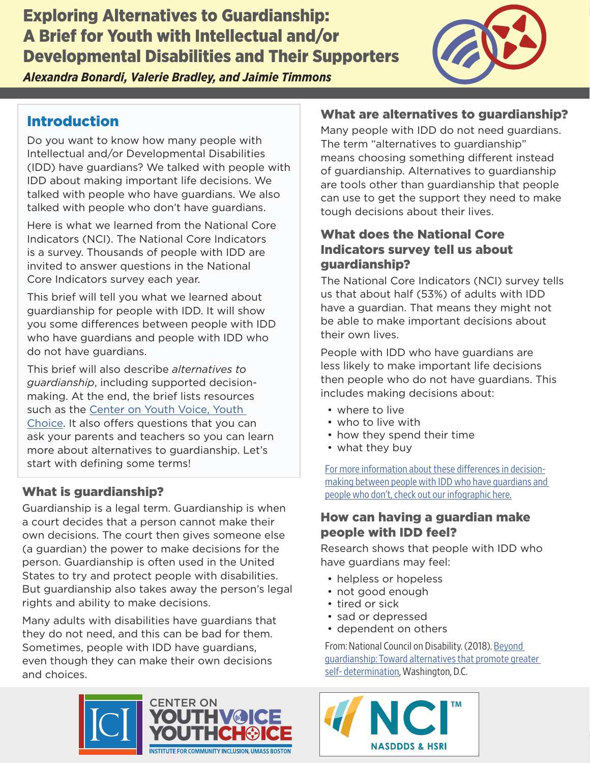Exploring Alternatives to Guardianship: A Brief for Youth with Intellectual and/or Developmental Disabilities and Their Supporters *Alexandra Bonardi, Valerie Bradley, and Jaimie Timmons*



## Introduction

Do you want to know how many people with Intellectual and/or Developmental Disabilities (IDD) have guardians? We talked with people with IDD about making important life decisions. We talked with people who have guardians. We also talked with people who don't have guardians.

Here is what we learned from the National Core Indicators (NCI). The National Core Indicators is a survey. Thousands of people with IDD are invited to answer questions in the National Core Indicators survey each year.

This brief will tell you what we learned about guardianship for people with IDD. It will show you some differences between people with IDD who have guardians and people with IDD who do not have guardians.

This brief will also describe *alternatives to guardianship*, including supported decisionmaking. At the end, the brief lists resources such as the [Center on Youth Voice, Youth](https://youth-voice.org/)  [Choice](https://youth-voice.org/). It also offers questions that you can ask your parents and teachers so you can learn more about alternatives to guardianship. Let's start with defining some terms!

## What is guardianship?

Guardianship is a legal term. Guardianship is when a court decides that a person cannot make their own decisions. The court then gives someone else (a guardian) the power to make decisions for the person. Guardianship is often used in the United States to try and protect people with disabilities. But guardianship also takes away the person's legal rights and ability to make decisions.

Many adults with disabilities have guardians that they do not need, and this can be bad for them. Sometimes, people with IDD have guardians, even though they can make their own decisions and choices.

#### What are alternatives to guardianship?

Many people with IDD do not need guardians. The term "alternatives to guardianship" means choosing something different instead of guardianship. Alternatives to guardianship are tools other than guardianship that people can use to get the support they need to make tough decisions about their lives.

### What does the National Core Indicators survey tell us about guardianship?

The National Core Indicators (NCI) survey tells us that about half (53%) of adults with IDD have a guardian. That means they might not be able to make important decisions about their own lives.

People with IDD who have guardians are less likely to make important life decisions then people who do not have guardians. This includes making decisions about:

- where to live
- who to live with
- how they spend their time
- what they buy

[For more information about these differences in decision](https://youth-voice.org/wp-content/uploads/2022/02/infographic_decisionmaking_F4.pdf)[making between people with IDD who have guardians and](https://youth-voice.org/wp-content/uploads/2022/02/infographic_decisionmaking_F4.pdf)  [people who don't, check out our infographic here.](https://youth-voice.org/wp-content/uploads/2022/02/infographic_decisionmaking_F4.pdf)

#### How can having a guardian make people with IDD feel?

Research shows that people with IDD who have guardians may feel:

- helpless or hopeless
- not good enough
- tired or sick
- sad or depressed
- dependent on others

From: National Council on Disability. (2018). [Beyond](https://ncd.gov/sites/default/files/NCD_Guardianship_Report_Accessible.pdf)  [guardianship: Toward alternatives that promote greater](https://ncd.gov/sites/default/files/NCD_Guardianship_Report_Accessible.pdf)  [self- determination](https://ncd.gov/sites/default/files/NCD_Guardianship_Report_Accessible.pdf), Washington, D.C.



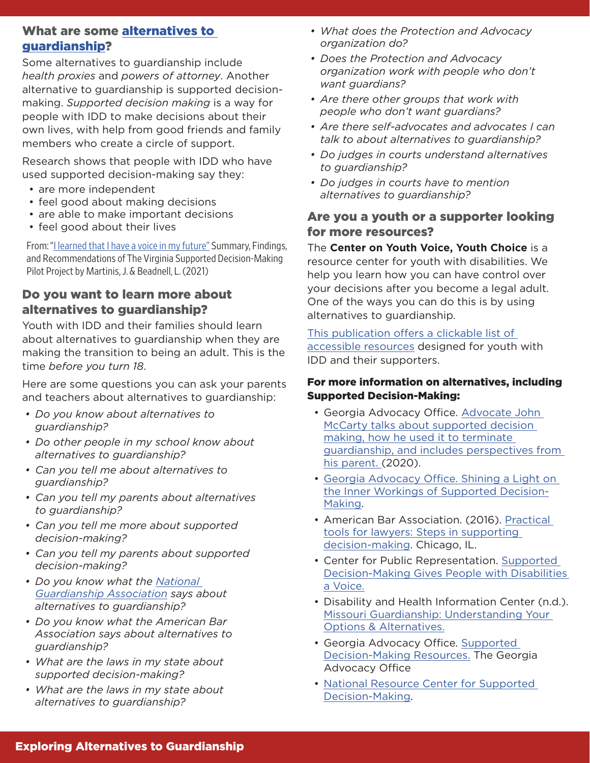#### What are some [alternatives to](https://youth-voice.org/glossary/)  [guardianship](https://youth-voice.org/glossary/)?

Some alternatives to guardianship include *health proxies* and *powers of attorney*. Another alternative to guardianship is supported decisionmaking. *Supported decision making* is a way for people with IDD to make decisions about their own lives, with help from good friends and family members who create a circle of support.

Research shows that people with IDD who have used supported decision-making say they:

- are more independent
- feel good about making decisions
- are able to make important decisions
- feel good about their lives

From: "[I learned that I have a voice in my future"](http://www.supporteddecisionmaking.org/sites/default/files/2021_virginia_SDM_pilot_project.pdf) Summary, Findings, and Recommendations of The Virginia Supported Decision-Making Pilot Project by Martinis, J. & Beadnell, L. (2021)

#### Do you want to learn more about alternatives to guardianship?

Youth with IDD and their families should learn about alternatives to guardianship when they are making the transition to being an adult. This is the time *before you turn 18*.

Here are some questions you can ask your parents and teachers about alternatives to guardianship:

- *Do you know about alternatives to guardianship?*
- *Do other people in my school know about alternatives to guardianship?*
- *Can you tell me about alternatives to guardianship?*
- *Can you tell my parents about alternatives to guardianship?*
- *Can you tell me more about supported decision-making?*
- *Can you tell my parents about supported decision-making?*
- *Do you know what the [National](https://www.guardianship.org/standards/)  [Guardianship Association](https://www.guardianship.org/standards/) says about alternatives to guardianship?*
- *Do you know what the American Bar Association says about alternatives to guardianship?*
- *What are the laws in my state about supported decision-making?*
- *What are the laws in my state about alternatives to guardianship?*
- *What does the Protection and Advocacy organization do?*
- *Does the Protection and Advocacy organization work with people who don't want guardians?*
- *Are there other groups that [work with](https://gator.communityinclusion.org/publications/gator-resource-list-1/)  [people who don't want guardians?](https://gator.communityinclusion.org/publications/gator-resource-list-1/)*
- *Are there self-advocates and advocates I can talk to about alternatives to guardianship?*
- *Do judges in courts understand alternatives to guardianship?*
- *Do judges in courts have to mention alternatives to guardianship?*

#### Are you a youth or a supporter looking for more resources?

The **Center on Youth Voice, Youth Choice** is a resource center for youth with disabilities. We help you learn how you can have control over your decisions after you become a legal adult. One of the ways you can do this is by using alternatives to guardianship.

[This publication offers a clickable list of](https://gator.communityinclusion.org/publications/gator-resource-list-1/)  [accessible resources](https://gator.communityinclusion.org/publications/gator-resource-list-1/) designed for youth with IDD and their supporters.

#### For more information on alternatives, including Supported Decision-Making:

- Georgia Advocacy Office. [Advocate John](https://www.youtube.com/channel/UCXPkGt_cyYyPPWFxWYB7NTQ)  [McCarty talks about supported decision](https://www.youtube.com/channel/UCXPkGt_cyYyPPWFxWYB7NTQ)  [making, how he used it to terminate](https://www.youtube.com/channel/UCXPkGt_cyYyPPWFxWYB7NTQ)  [guardianship, and includes perspectives from](https://www.youtube.com/channel/UCXPkGt_cyYyPPWFxWYB7NTQ)  [his parent.](https://www.youtube.com/channel/UCXPkGt_cyYyPPWFxWYB7NTQ) (2020).
- [Georgia Advocacy Office. Shining a Light on](https://www.youtube.com/watch?v=UXFMNguab1A)  [the Inner Workings of Supported Decision-](https://www.youtube.com/watch?v=UXFMNguab1A)[Making](https://www.youtube.com/watch?v=UXFMNguab1A).
- American Bar Association. (2016). [Practical](http://www.americanbar.org/groups/law_aging/resources/guardianship_law_practice/practical_tool/)  [tools for lawyers: Steps in supporting](http://www.americanbar.org/groups/law_aging/resources/guardianship_law_practice/practical_tool/)  [decision-making.](http://www.americanbar.org/groups/law_aging/resources/guardianship_law_practice/practical_tool/) Chicago, IL.
- Center for Public Representation. [Supported](https://supporteddecisions.org/)  [Decision-Making Gives People with Disabilities](https://supporteddecisions.org/)  [a Voice.](https://supporteddecisions.org/)
- Disability and Health Information Center (n.d.). [Missouri Guardianship: Understanding Your](https://health.mo.gov/shcn-secure/docs/GuardianshipInfoPack.pdf)  [Options & Alternatives.](https://health.mo.gov/shcn-secure/docs/GuardianshipInfoPack.pdf)
- Georgia Advocacy Office. [Supported](http://thegao.net/)  [Decision-Making Resources.](http://thegao.net/) The Georgia Advocacy Office
- [National Resource Center for Supported](http://www.supporteddecisionmaking.org/)  [Decision-Making](http://www.supporteddecisionmaking.org/).